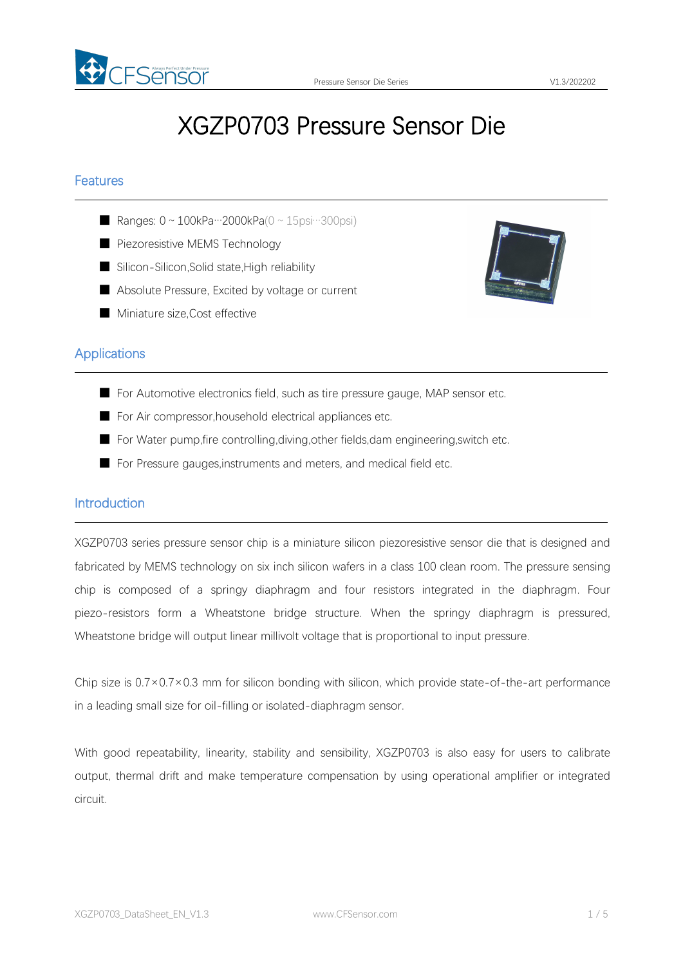

# XGZP0703 Pressure Sensor Die

## Features

- Ranges:  $0 \sim 100$ kPa…2000kPa( $0 \sim 15$ psi…300psi)
- Piezoresistive MEMS Technology
- Silicon-Silicon, Solid state, High reliability
- Absolute Pressure, Excited by voltage or current
- Miniature size.Cost effective



# **Applications**

- For Automotive electronics field, such as tire pressure gauge, MAP sensor etc.
- For Air compressor, household electrical appliances etc.
- For Water pump, fire controlling, diving, other fields, dam engineering, switch etc.
- For Pressure gauges, instruments and meters, and medical field etc.

#### Introduction

XGZP0703 series pressure sensor chip is a miniature silicon piezoresistive sensor die that is designed and fabricated by MEMS technology on six inch silicon wafers in a class 100 clean room. The pressure sensing chip is composed of a springy diaphragm and four resistors integrated in the diaphragm. Four piezo-resistors form a Wheatstone bridge structure. When the springy diaphragm is pressured, Wheatstone bridge will output linear millivolt voltage that is proportional to input pressure.<br>Chip size is  $0.7 \times 0.7 \times 0.3$  mm for silicon bonding with silicon, which provide state-of-the-art performance

in a leading small size for oil-filling or isolated-diaphragm sensor.

With good repeatability, linearity, stability and sensibility, XGZP0703 is also easy for users to calibrate output, thermal drift and make temperature compensation by using operational amplifier or integrated circuit.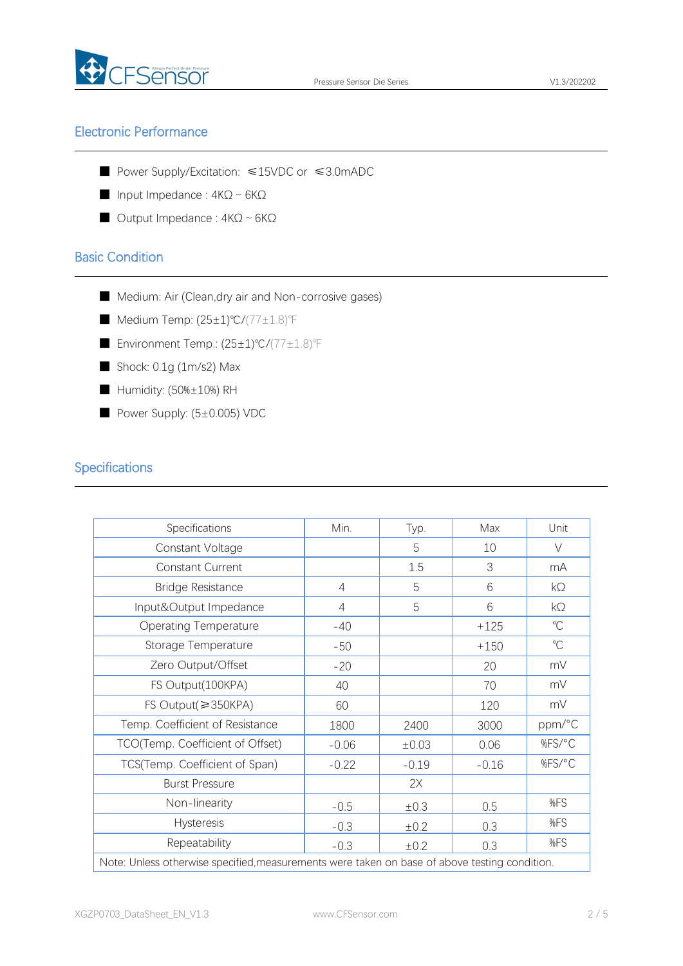

# Electronic Performance

- Power Supply/Excitation: ≤15VDC or ≤3.0mADC
- Input Impedance :  $4KΩ ~ 6KΩ$
- Output Impedance : 4KΩ ~ 6KΩ

# Basic Condition

- Medium: Air (Clean,dry air and Non-corrosive gases)
- Medium Temp: (25±1)℃/(77±1.8)F
- Environment Temp.: (25±1)℃/(77±1.8)℉
- Shock: 0.1g (1m/s2) Max
- Humidity: (50%±10%) RH
- Power Supply: (5±0.005) VDC

# **Specifications**

| Specifications                                                                                | Min.           | Typ.      | Max     | Unit         |
|-----------------------------------------------------------------------------------------------|----------------|-----------|---------|--------------|
| Constant Voltage                                                                              |                | 5         | 10      | $\vee$       |
| Constant Current                                                                              |                | 1.5       | 3       | mA           |
| <b>Bridge Resistance</b>                                                                      | $\overline{4}$ | 5         | 6       | $k\Omega$    |
| Input&Output Impedance                                                                        | $\overline{4}$ | 5         | 6       | $k\Omega$    |
| <b>Operating Temperature</b>                                                                  | $-40$          |           | $+125$  | $\mathrm{C}$ |
| Storage Temperature                                                                           | $-50$          |           | $+150$  | $\mathrm{C}$ |
| Zero Output/Offset                                                                            | $-20$          |           | 20      | mV           |
| FS Output(100KPA)                                                                             | 40             |           | 70      | mV           |
| $FS$ Output( $\geqslant$ 350KPA)                                                              | 60             |           | 120     | mV           |
| Temp. Coefficient of Resistance                                                               | 1800           | 2400      | 3000    | ppm/°C       |
| TCO(Temp. Coefficient of Offset)                                                              | $-0.06$        | ±0.03     | 0.06    | %FS/°C       |
| TCS(Temp. Coefficient of Span)                                                                | $-0.22$        | $-0.19$   | $-0.16$ | %FS/°C       |
| <b>Burst Pressure</b>                                                                         |                | 2X        |         |              |
| Non-linearity                                                                                 | $-0.5$         | $\pm 0.3$ | 0.5     | %FS          |
| Hysteresis                                                                                    | $-0.3$         | ±0.2      | 0.3     | %FS          |
| Repeatability                                                                                 | $-0.3$         | $\pm 0.2$ | 0.3     | %FS          |
| Note: Unless otherwise specified, measurements were taken on base of above testing condition. |                |           |         |              |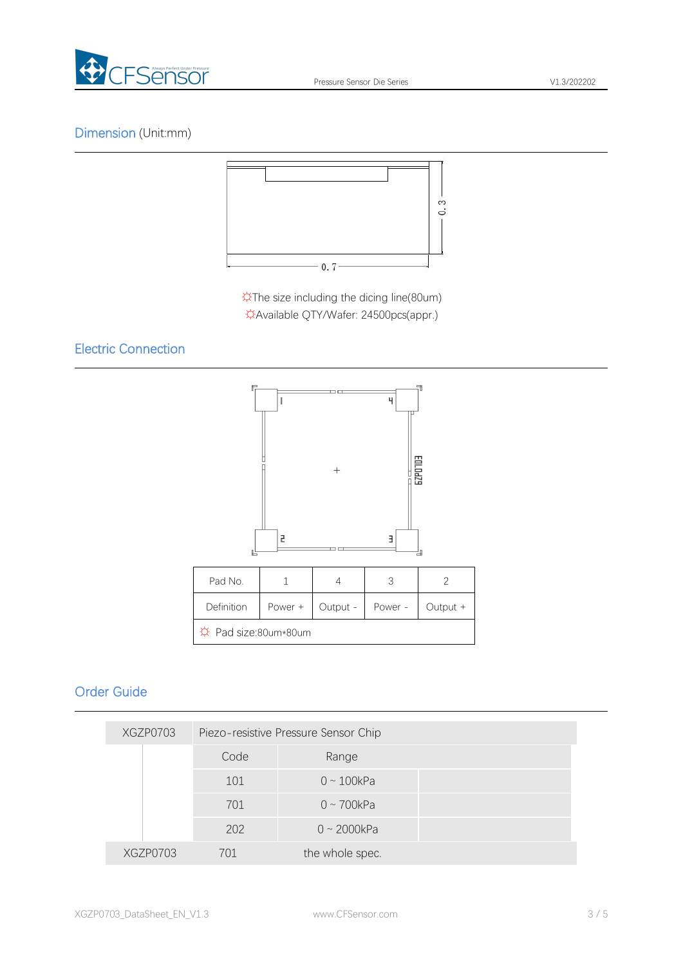

# Dimension (Unit:mm)



☼The size including the dicing line(80um) ☼Available QTY/Wafer: 24500pcs(appr.)

# Electric Connection



# Order Guide

| XGZP0703 | Piezo-resistive Pressure Sensor Chip |                   |  |  |  |
|----------|--------------------------------------|-------------------|--|--|--|
|          | Code                                 | Range             |  |  |  |
|          | 101                                  | $0 \sim 100$ kPa  |  |  |  |
|          | 701                                  | $0 \sim 700$ kPa  |  |  |  |
|          | 202                                  | $0 \sim 2000$ kPa |  |  |  |
| XGZP0703 | 701                                  | the whole spec.   |  |  |  |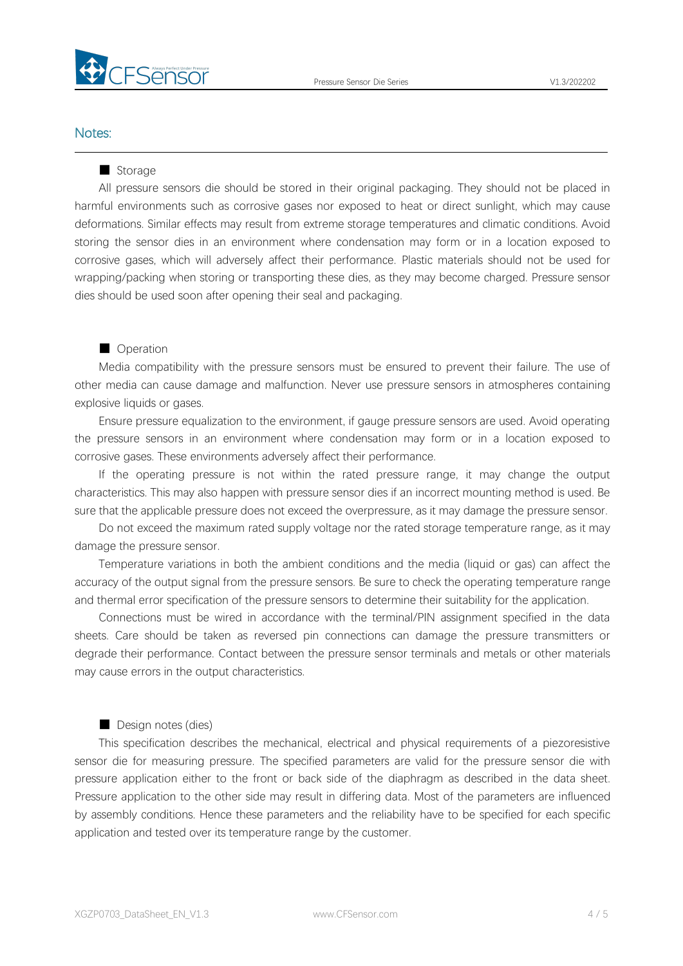

## Notes:

#### ■ Storage

All pressure sensors die should be stored in their original packaging. They should not be placed in harmful environments such as corrosive gases nor exposed to heat or direct sunlight, which may cause deformations. Similar effects may result from extreme storage temperatures and climatic conditions. Avoid storing the sensor dies in an environment where condensation may form or in a location exposed to corrosive gases, which will adversely affect their performance. Plastic materials should not be used for wrapping/packing when storing or transporting these dies, as they may become charged. Pressure sensor dies should be used soon after opening their seal and packaging.

#### ■ Operation

Media compatibility with the pressure sensors must be ensured to prevent their failure. The use of other media can cause damage and malfunction. Never use pressure sensors in atmospheres containing explosive liquids or gases.

Ensure pressure equalization to the environment, if gauge pressure sensors are used. Avoid operating the pressure sensors in an environment where condensation may form or in a location exposed to corrosive gases. These environments adversely affect their performance.

If the operating pressure is not within the rated pressure range, it may change the output characteristics. This may also happen with pressure sensor dies if an incorrect mounting method is used. Be sure that the applicable pressure does not exceed the overpressure, as it may damage the pressure sensor.

Do not exceed the maximum rated supply voltage nor the rated storage temperature range, as it may damage the pressure sensor.

Temperature variations in both the ambient conditions and the media (liquid or gas) can affect the accuracy of the output signal from the pressure sensors. Be sure to check the operating temperature range and thermal error specification of the pressure sensors to determine their suitability for the application.

Connections must be wired in accordance with the terminal/PIN assignment specified in the data sheets. Care should be taken as reversed pin connections can damage the pressure transmitters or degrade their performance. Contact between the pressure sensor terminals and metals or other materials may cause errors in the output characteristics.

## ■ Design notes (dies)

This specification describes the mechanical, electrical and physical requirements of a piezoresistive sensor die for measuring pressure. The specified parameters are valid for the pressure sensor die with pressure application either to the front or back side of the diaphragm as described in the data sheet. Pressure application to the other side may result in differing data. Most of the parameters are influenced by assembly conditions. Hence these parameters and the reliability have to be specified for each specific application and tested over its temperature range by the customer.